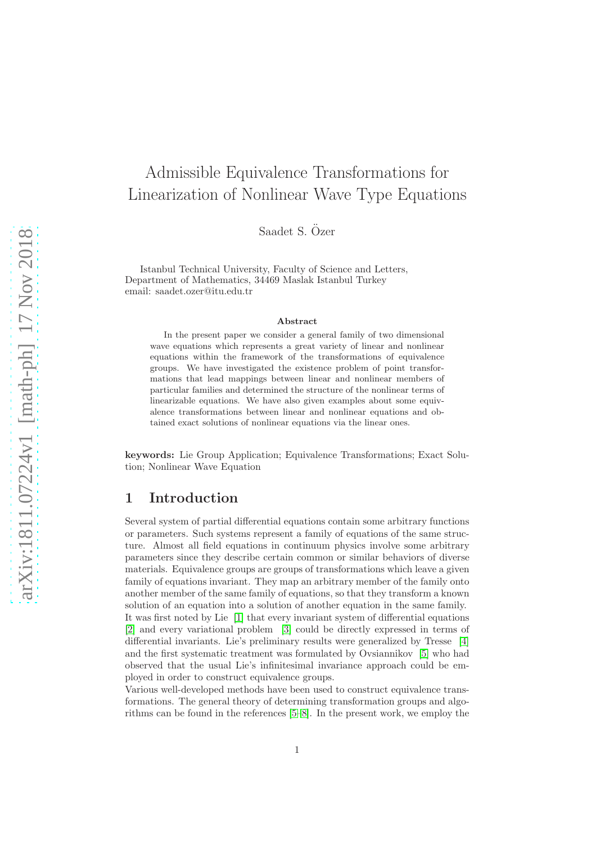# Admissible Equivalence Transformations for Linearization of Nonlinear Wave Type Equations

Saadet S. Özer

Istanbul Technical University, Faculty of Science and Letters, Department of Mathematics, 34469 Maslak Istanbul Turkey email: saadet.ozer@itu.edu.tr

#### Abstract

In the present paper we consider a general family of two dimensional wave equations which represents a great variety of linear and nonlinear equations within the framework of the transformations of equivalence groups. We have investigated the existence problem of point transformations that lead mappings between linear and nonlinear members of particular families and determined the structure of the nonlinear terms of linearizable equations. We have also given examples about some equivalence transformations between linear and nonlinear equations and obtained exact solutions of nonlinear equations via the linear ones.

keywords: Lie Group Application; Equivalence Transformations; Exact Solution; Nonlinear Wave Equation

### 1 Introduction

Several system of partial differential equations contain some arbitrary functions or parameters. Such systems represent a family of equations of the same structure. Almost all field equations in continuum physics involve some arbitrary parameters since they describe certain common or similar behaviors of diverse materials. Equivalence groups are groups of transformations which leave a given family of equations invariant. They map an arbitrary member of the family onto another member of the same family of equations, so that they transform a known solution of an equation into a solution of another equation in the same family. It was first noted by Lie [\[1\]](#page-15-0) that every invariant system of differential equations [\[2\]](#page-15-1) and every variational problem [\[3\]](#page-15-2) could be directly expressed in terms of differential invariants. Lie's preliminary results were generalized by Tresse [\[4\]](#page-15-3) and the first systematic treatment was formulated by Ovsiannikov [\[5\]](#page-15-4) who had observed that the usual Lie's infinitesimal invariance approach could be employed in order to construct equivalence groups.

Various well-developed methods have been used to construct equivalence transformations. The general theory of determining transformation groups and algorithms can be found in the references [\[5](#page-15-4)[–8\]](#page-15-5). In the present work, we employ the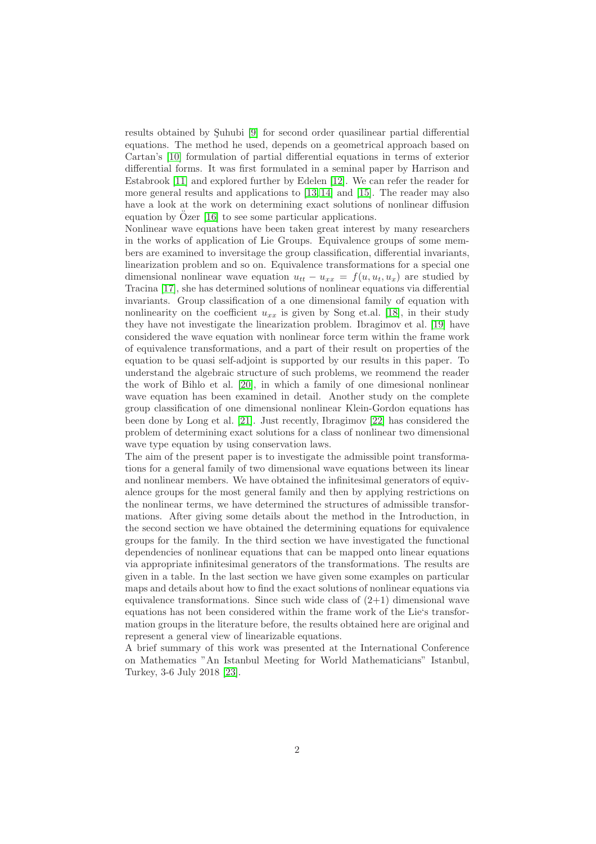results obtained by Suhubi [\[9\]](#page-15-6) for second order quasilinear partial differential equations. The method he used, depends on a geometrical approach based on Cartan's [\[10\]](#page-15-7) formulation of partial differential equations in terms of exterior differential forms. It was first formulated in a seminal paper by Harrison and Estabrook [\[11\]](#page-15-8) and explored further by Edelen [\[12\]](#page-15-9). We can refer the reader for more general results and applications to [\[13,](#page-16-0) [14\]](#page-16-1) and [\[15\]](#page-16-2). The reader may also have a look at the work on determining exact solutions of nonlinear diffusion equation by  $\tilde{O}$ zer [\[16\]](#page-16-3) to see some particular applications.

Nonlinear wave equations have been taken great interest by many researchers in the works of application of Lie Groups. Equivalence groups of some members are examined to inversitage the group classification, differential invariants, linearization problem and so on. Equivalence transformations for a special one dimensional nonlinear wave equation  $u_{tt} - u_{xx} = f(u, u_t, u_x)$  are studied by Tracina [\[17\]](#page-16-4), she has determined solutions of nonlinear equations via differential invariants. Group classification of a one dimensional family of equation with nonlinearity on the coefficient  $u_{xx}$  is given by Song et.al. [\[18\]](#page-16-5), in their study they have not investigate the linearization problem. Ibragimov et al. [\[19\]](#page-16-6) have considered the wave equation with nonlinear force term within the frame work of equivalence transformations, and a part of their result on properties of the equation to be quasi self-adjoint is supported by our results in this paper. To understand the algebraic structure of such problems, we reommend the reader the work of Bihlo et al. [\[20\]](#page-16-7), in which a family of one dimesional nonlinear wave equation has been examined in detail. Another study on the complete group classification of one dimensional nonlinear Klein-Gordon equations has been done by Long et al. [\[21\]](#page-16-8). Just recently, Ibragimov [\[22\]](#page-16-9) has considered the problem of determining exact solutions for a class of nonlinear two dimensional wave type equation by using conservation laws.

The aim of the present paper is to investigate the admissible point transformations for a general family of two dimensional wave equations between its linear and nonlinear members. We have obtained the infinitesimal generators of equivalence groups for the most general family and then by applying restrictions on the nonlinear terms, we have determined the structures of admissible transformations. After giving some details about the method in the Introduction, in the second section we have obtained the determining equations for equivalence groups for the family. In the third section we have investigated the functional dependencies of nonlinear equations that can be mapped onto linear equations via appropriate infinitesimal generators of the transformations. The results are given in a table. In the last section we have given some examples on particular maps and details about how to find the exact solutions of nonlinear equations via equivalence transformations. Since such wide class of  $(2+1)$  dimensional wave equations has not been considered within the frame work of the Lie's transformation groups in the literature before, the results obtained here are original and represent a general view of linearizable equations.

A brief summary of this work was presented at the International Conference on Mathematics "An Istanbul Meeting for World Mathematicians" Istanbul, Turkey, 3-6 July 2018 [\[23\]](#page-16-10).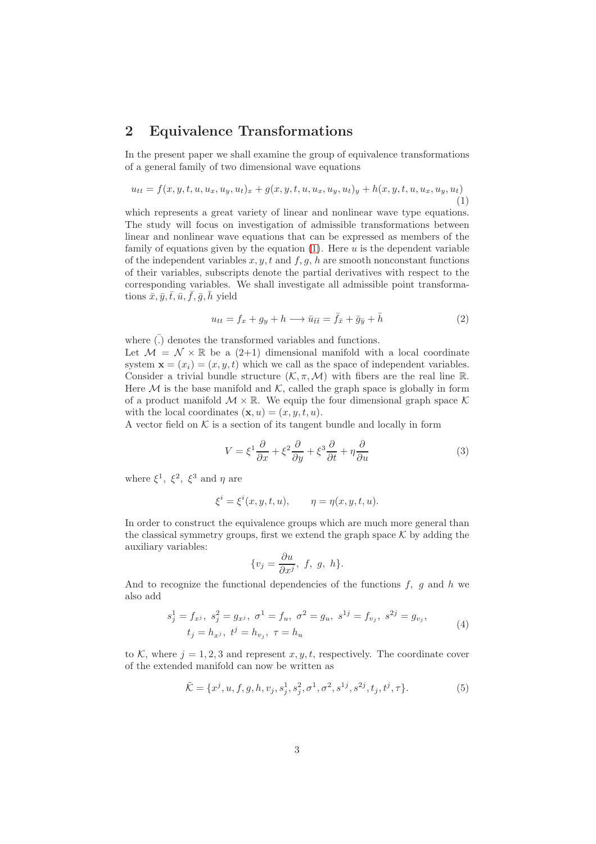### 2 Equivalence Transformations

In the present paper we shall examine the group of equivalence transformations of a general family of two dimensional wave equations

<span id="page-2-0"></span>
$$
u_{tt} = f(x, y, t, u, u_x, u_y, u_t)_x + g(x, y, t, u, u_x, u_y, u_t)_y + h(x, y, t, u, u_x, u_y, u_t)
$$
\n(1)

which represents a great variety of linear and nonlinear wave type equations. The study will focus on investigation of admissible transformations between linear and nonlinear wave equations that can be expressed as members of the family of equations given by the equation  $(1)$ . Here u is the dependent variable of the independent variables  $x, y, t$  and  $f, g, h$  are smooth nonconstant functions of their variables, subscripts denote the partial derivatives with respect to the corresponding variables. We shall investigate all admissible point transformations  $\bar{x}, \bar{y}, \bar{t}, \bar{u}, \bar{f}, \bar{g}, \bar{h}$  yield

$$
u_{tt} = f_x + g_y + h \longrightarrow \bar{u}_{\bar{t}\bar{t}} = \bar{f}_{\bar{x}} + \bar{g}_{\bar{y}} + \bar{h}
$$
\n(2)

where  $\overline{(.)}$  denotes the transformed variables and functions. Let  $\mathcal{M} = \mathcal{N} \times \mathbb{R}$  be a (2+1) dimensional manifold with a local coordinate system  $\mathbf{x} = (x_i) = (x, y, t)$  which we call as the space of independent variables. Consider a trivial bundle structure  $(\mathcal{K}, \pi, \mathcal{M})$  with fibers are the real line R. Here  $M$  is the base manifold and  $K$ , called the graph space is globally in form of a product manifold  $\mathcal{M} \times \mathbb{R}$ . We equip the four dimensional graph space  $\mathcal{K}$ with the local coordinates  $(\mathbf{x}, u) = (x, y, t, u)$ .

A vector field on  $K$  is a section of its tangent bundle and locally in form

$$
V = \xi^1 \frac{\partial}{\partial x} + \xi^2 \frac{\partial}{\partial y} + \xi^3 \frac{\partial}{\partial t} + \eta \frac{\partial}{\partial u}
$$
 (3)

where  $\xi^1$ ,  $\xi^2$ ,  $\xi^3$  and  $\eta$  are

$$
\xi^i = \xi^i(x, y, t, u), \qquad \eta = \eta(x, y, t, u).
$$

In order to construct the equivalence groups which are much more general than the classical symmetry groups, first we extend the graph space  $\mathcal K$  by adding the auxiliary variables:

$$
\{v_j = \frac{\partial u}{\partial x^j}, \ f, \ g, \ h\}.
$$

And to recognize the functional dependencies of the functions  $f, g$  and  $h$  we also add

$$
s_j^1 = f_{x^j}, \ s_j^2 = g_{x^j}, \ \sigma^1 = f_u, \ \sigma^2 = g_u, \ s^{1j} = f_{v_j}, \ s^{2j} = g_{v_j},
$$
  
\n
$$
t_j = h_{x^j}, \ t^j = h_{v_j}, \ \tau = h_u
$$
\n(4)

<span id="page-2-1"></span>to K, where  $j = 1, 2, 3$  and represent  $x, y, t$ , respectively. The coordinate cover of the extended manifold can now be written as

<span id="page-2-2"></span>
$$
\tilde{\mathcal{K}} = \{x^j, u, f, g, h, v_j, s_j^1, s_j^2, \sigma^1, \sigma^2, s^{1j}, s^{2j}, t_j, t^j, \tau\}.
$$
\n(5)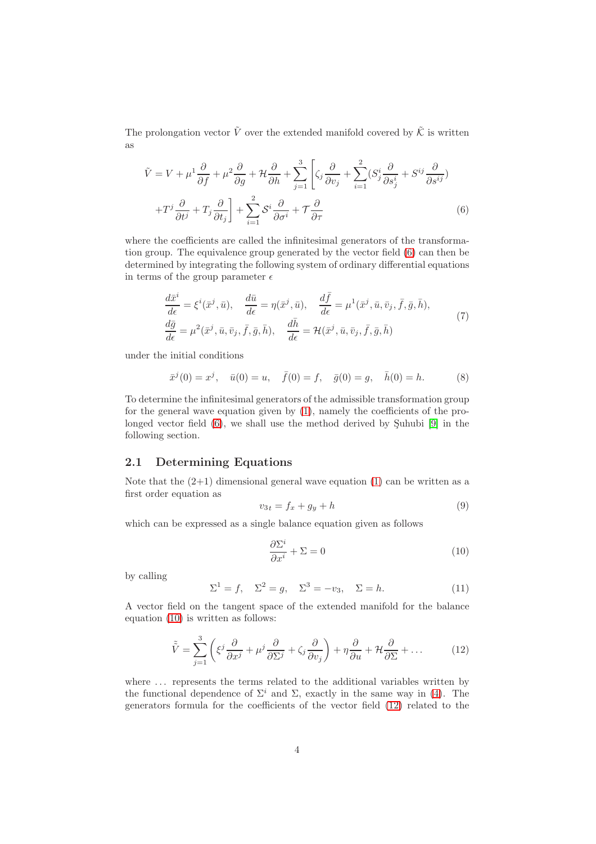The prolongation vector  $\tilde{V}$  over the extended manifold covered by  $\tilde{\mathcal{K}}$  is written as

$$
\tilde{V} = V + \mu^1 \frac{\partial}{\partial f} + \mu^2 \frac{\partial}{\partial g} + \mathcal{H} \frac{\partial}{\partial h} + \sum_{j=1}^3 \left[ \zeta_j \frac{\partial}{\partial v_j} + \sum_{i=1}^2 (S_j^i \frac{\partial}{\partial s_j^i} + S^{ij} \frac{\partial}{\partial s^{ij}}) + T^j \frac{\partial}{\partial t^j} + T_j \frac{\partial}{\partial t_j} \right] + \sum_{i=1}^2 \mathcal{S}^i \frac{\partial}{\partial \sigma^i} + \mathcal{T} \frac{\partial}{\partial \tau}
$$
\n(6)

where the coefficients are called the infinitesimal generators of the transformation group. The equivalence group generated by the vector field [\(6\)](#page-3-0) can then be determined by integrating the following system of ordinary differential equations in terms of the group parameter  $\epsilon$ 

<span id="page-3-0"></span>
$$
\frac{d\bar{x}^i}{d\epsilon} = \xi^i(\bar{x}^j, \bar{u}), \quad \frac{d\bar{u}}{d\epsilon} = \eta(\bar{x}^j, \bar{u}), \quad \frac{d\bar{f}}{d\epsilon} = \mu^1(\bar{x}^j, \bar{u}, \bar{v}_j, \bar{f}, \bar{g}, \bar{h}), \n\frac{d\bar{g}}{d\epsilon} = \mu^2(\bar{x}^j, \bar{u}, \bar{v}_j, \bar{f}, \bar{g}, \bar{h}), \quad \frac{d\bar{h}}{d\epsilon} = \mathcal{H}(\bar{x}^j, \bar{u}, \bar{v}_j, \bar{f}, \bar{g}, \bar{h})
$$
\n(7)

<span id="page-3-4"></span>under the initial conditions

<span id="page-3-5"></span>
$$
\bar{x}^j(0) = x^j
$$
,  $\bar{u}(0) = u$ ,  $\bar{f}(0) = f$ ,  $\bar{g}(0) = g$ ,  $\bar{h}(0) = h$ . (8)

To determine the infinitesimal generators of the admissible transformation group for the general wave equation given by [\(1\)](#page-2-0), namely the coefficients of the prolonged vector field  $(6)$ , we shall use the method derived by Suhubi [\[9\]](#page-15-6) in the following section.

#### 2.1 Determining Equations

Note that the  $(2+1)$  dimensional general wave equation  $(1)$  can be written as a first order equation as

$$
v_{3t} = f_x + g_y + h \tag{9}
$$

which can be expressed as a single balance equation given as follows

<span id="page-3-1"></span>
$$
\frac{\partial \Sigma^i}{\partial x^i} + \Sigma = 0 \tag{10}
$$

by calling

<span id="page-3-3"></span>
$$
\Sigma^1 = f, \quad \Sigma^2 = g, \quad \Sigma^3 = -v_3, \quad \Sigma = h. \tag{11}
$$

A vector field on the tangent space of the extended manifold for the balance equation [\(10\)](#page-3-1) is written as follows:

<span id="page-3-2"></span>
$$
\tilde{\tilde{V}} = \sum_{j=1}^{3} \left( \xi^j \frac{\partial}{\partial x^j} + \mu^j \frac{\partial}{\partial \Sigma^j} + \zeta_j \frac{\partial}{\partial v_j} \right) + \eta \frac{\partial}{\partial u} + \mathcal{H} \frac{\partial}{\partial \Sigma} + \dots \tag{12}
$$

where ... represents the terms related to the additional variables written by the functional dependence of  $\Sigma^i$  and  $\Sigma$ , exactly in the same way in [\(4\)](#page-2-1). The generators formula for the coefficients of the vector field [\(12\)](#page-3-2) related to the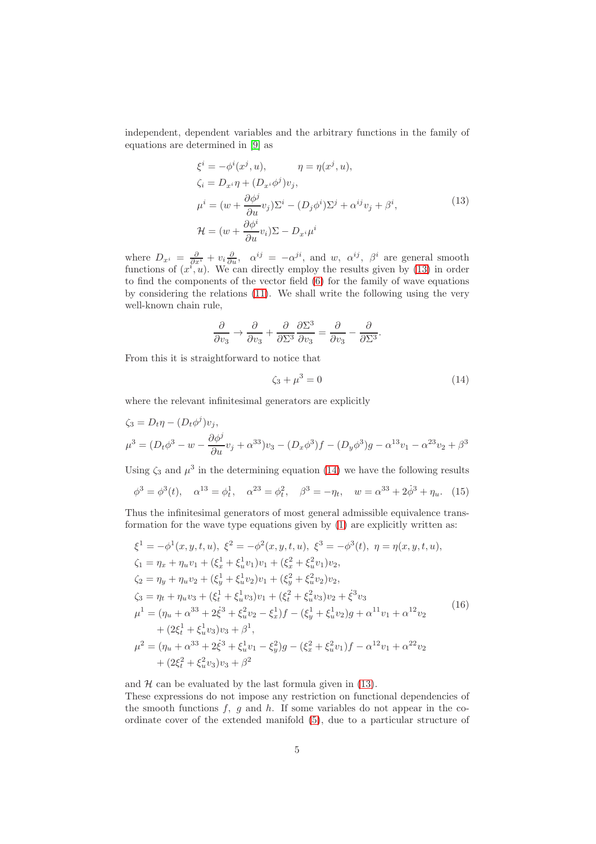independent, dependent variables and the arbitrary functions in the family of equations are determined in [\[9\]](#page-15-6) as

$$
\xi^{i} = -\phi^{i}(x^{j}, u), \qquad \eta = \eta(x^{j}, u), \n\zeta_{i} = D_{x^{i}}\eta + (D_{x^{i}}\phi^{j})v_{j}, \n\mu^{i} = (w + \frac{\partial\phi^{j}}{\partial u}v_{j})\Sigma^{i} - (D_{j}\phi^{i})\Sigma^{j} + \alpha^{ij}v_{j} + \beta^{i}, \n\mathcal{H} = (w + \frac{\partial\phi^{i}}{\partial u}v_{i})\Sigma - D_{x^{i}}\mu^{i}
$$
\n(13)

<span id="page-4-0"></span>where  $D_{x^i} = \frac{\partial}{\partial x^i} + v_i \frac{\partial}{\partial u}$ ,  $\alpha^{ij} = -\alpha^{ji}$ , and w,  $\alpha^{ij}$ ,  $\beta^i$  are general smooth functions of  $(x^i, u)$ . We can directly employ the results given by [\(13\)](#page-4-0) in order to find the components of the vector field [\(6\)](#page-3-0) for the family of wave equations by considering the relations [\(11\)](#page-3-3). We shall write the following using the very well-known chain rule,

$$
\frac{\partial}{\partial v_3} \to \frac{\partial}{\partial v_3} + \frac{\partial}{\partial \Sigma^3} \frac{\partial \Sigma^3}{\partial v_3} = \frac{\partial}{\partial v_3} - \frac{\partial}{\partial \Sigma^3}.
$$

From this it is straightforward to notice that

<span id="page-4-1"></span>
$$
\zeta_3 + \mu^3 = 0 \tag{14}
$$

where the relevant infinitesimal generators are explicitly

$$
\zeta_3 = D_t \eta - (D_t \phi^j) v_j,
$$
  
\n
$$
\mu^3 = (D_t \phi^3 - w - \frac{\partial \phi^j}{\partial u} v_j + \alpha^{33}) v_3 - (D_x \phi^3) f - (D_y \phi^3) g - \alpha^{13} v_1 - \alpha^{23} v_2 + \beta^{33} v_3
$$

Using  $\zeta_3$  and  $\mu^3$  in the determining equation [\(14\)](#page-4-1) we have the following results

$$
\phi^3 = \phi^3(t)
$$
,  $\alpha^{13} = \phi_t^1$ ,  $\alpha^{23} = \phi_t^2$ ,  $\beta^3 = -\eta_t$ ,  $w = \alpha^{33} + 2\dot{\phi}^3 + \eta_u$ . (15)

Thus the infinitesimal generators of most general admissible equivalence transformation for the wave type equations given by [\(1\)](#page-2-0) are explicitly written as:

<span id="page-4-2"></span>
$$
\xi^{1} = -\phi^{1}(x, y, t, u), \xi^{2} = -\phi^{2}(x, y, t, u), \xi^{3} = -\phi^{3}(t), \eta = \eta(x, y, t, u), \n\zeta_{1} = \eta_{x} + \eta_{u}v_{1} + (\xi_{x}^{1} + \xi_{u}^{1}v_{1})v_{1} + (\xi_{x}^{2} + \xi_{u}^{2}v_{1})v_{2}, \n\zeta_{2} = \eta_{y} + \eta_{u}v_{2} + (\xi_{y}^{1} + \xi_{u}^{1}v_{2})v_{1} + (\xi_{y}^{2} + \xi_{u}^{2}v_{2})v_{2}, \n\zeta_{3} = \eta_{t} + \eta_{u}v_{3} + (\xi_{t}^{1} + \xi_{u}^{1}v_{3})v_{1} + (\xi_{t}^{2} + \xi_{u}^{2}v_{3})v_{2} + \xi^{3}v_{3} \n\mu^{1} = (\eta_{u} + \alpha^{33} + 2\xi^{3} + \xi_{u}^{2}v_{2} - \xi_{x}^{1})f - (\xi_{y}^{1} + \xi_{u}^{1}v_{2})g + \alpha^{11}v_{1} + \alpha^{12}v_{2} \n+ (2\xi_{t}^{1} + \xi_{u}^{1}v_{3})v_{3} + \beta^{1}, \n\mu^{2} = (\eta_{u} + \alpha^{33} + 2\xi^{3} + \xi_{u}^{1}v_{1} - \xi_{y}^{2})g - (\xi_{x}^{2} + \xi_{u}^{2}v_{1})f - \alpha^{12}v_{1} + \alpha^{22}v_{2} \n+ (2\xi_{t}^{2} + \xi_{u}^{2}v_{3})v_{3} + \beta^{2}
$$
\n(16)

and  $H$  can be evaluated by the last formula given in [\(13\)](#page-4-0).

These expressions do not impose any restriction on functional dependencies of the smooth functions  $f$ ,  $q$  and  $h$ . If some variables do not appear in the coordinate cover of the extended manifold [\(5\)](#page-2-2), due to a particular structure of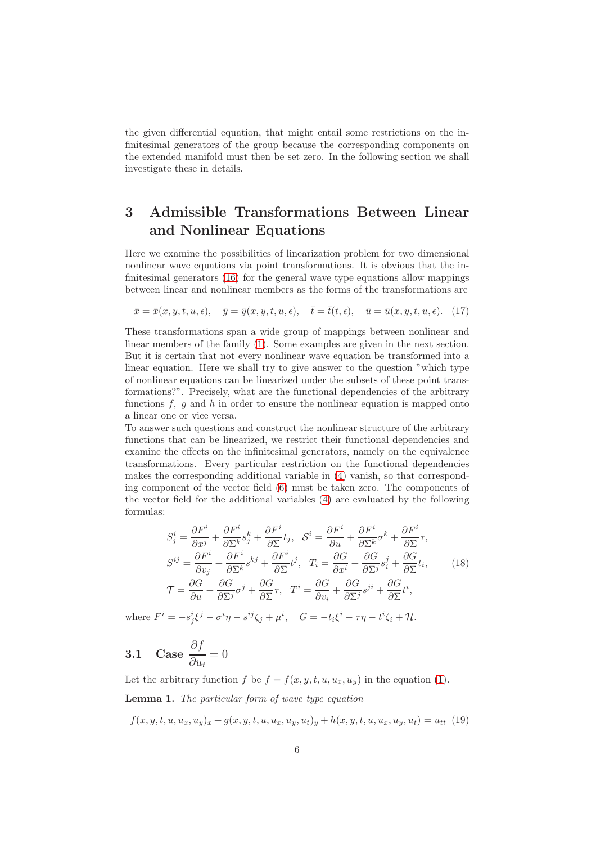the given differential equation, that might entail some restrictions on the infinitesimal generators of the group because the corresponding components on the extended manifold must then be set zero. In the following section we shall investigate these in details.

## 3 Admissible Transformations Between Linear and Nonlinear Equations

Here we examine the possibilities of linearization problem for two dimensional nonlinear wave equations via point transformations. It is obvious that the infinitesimal generators [\(16\)](#page-4-2) for the general wave type equations allow mappings between linear and nonlinear members as the forms of the transformations are

$$
\bar{x} = \bar{x}(x, y, t, u, \epsilon), \quad \bar{y} = \bar{y}(x, y, t, u, \epsilon), \quad \bar{t} = \bar{t}(t, \epsilon), \quad \bar{u} = \bar{u}(x, y, t, u, \epsilon). \tag{17}
$$

These transformations span a wide group of mappings between nonlinear and linear members of the family [\(1\)](#page-2-0). Some examples are given in the next section. But it is certain that not every nonlinear wave equation be transformed into a linear equation. Here we shall try to give answer to the question "which type of nonlinear equations can be linearized under the subsets of these point transformations?". Precisely, what are the functional dependencies of the arbitrary functions  $f, g$  and h in order to ensure the nonlinear equation is mapped onto a linear one or vice versa.

To answer such questions and construct the nonlinear structure of the arbitrary functions that can be linearized, we restrict their functional dependencies and examine the effects on the infinitesimal generators, namely on the equivalence transformations. Every particular restriction on the functional dependencies makes the corresponding additional variable in [\(4\)](#page-2-1) vanish, so that corresponding component of the vector field [\(6\)](#page-3-0) must be taken zero. The components of the vector field for the additional variables [\(4\)](#page-2-1) are evaluated by the following formulas:

<span id="page-5-0"></span>
$$
S_j^i = \frac{\partial F^i}{\partial x^j} + \frac{\partial F^i}{\partial \Sigma^k} s_j^k + \frac{\partial F^i}{\partial \Sigma} t_j, \quad S^i = \frac{\partial F^i}{\partial u} + \frac{\partial F^i}{\partial \Sigma^k} \sigma^k + \frac{\partial F^i}{\partial \Sigma} \tau,
$$
  
\n
$$
S^{ij} = \frac{\partial F^i}{\partial v_j} + \frac{\partial F^i}{\partial \Sigma^k} s^{kj} + \frac{\partial F^i}{\partial \Sigma} t^j, \quad T_i = \frac{\partial G}{\partial x^i} + \frac{\partial G}{\partial \Sigma^j} s_i^j + \frac{\partial G}{\partial \Sigma} t_i,
$$
  
\n
$$
\mathcal{T} = \frac{\partial G}{\partial u} + \frac{\partial G}{\partial \Sigma^j} \sigma^j + \frac{\partial G}{\partial \Sigma} \tau, \quad T^i = \frac{\partial G}{\partial v_i} + \frac{\partial G}{\partial \Sigma^j} s^{ji} + \frac{\partial G}{\partial \Sigma} t^i,
$$
\n(18)

where  $F^i = -s_j^i \xi^j - \sigma^i \eta - s^{ij} \zeta_j + \mu^i$ ,  $G = -t_i \xi^i - \tau \eta - t^i \zeta_i + \mathcal{H}$ .

3.1 Case 
$$
\frac{\partial f}{\partial u_t} = 0
$$

Let the arbitrary function f be  $f = f(x, y, t, u, u_x, u_y)$  in the equation [\(1\)](#page-2-0).

Lemma 1. The particular form of wave type equation

<span id="page-5-1"></span> $f(x, y, t, u, u_x, u_y)_x + q(x, y, t, u, u_x, u_y, u_t)_y + h(x, y, t, u, u_x, u_y, u_t) = u_{tt}$  (19)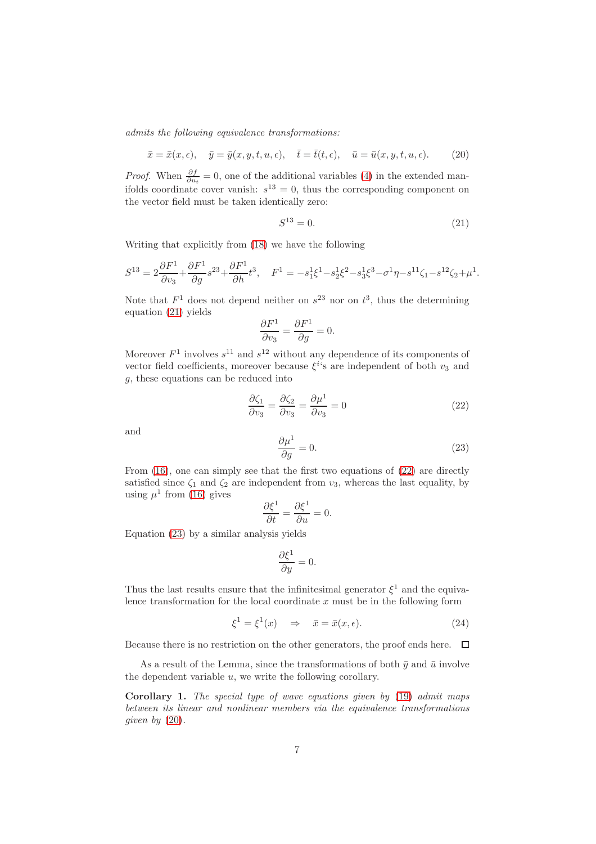admits the following equivalence transformations:

<span id="page-6-3"></span>
$$
\bar{x} = \bar{x}(x, \epsilon), \quad \bar{y} = \bar{y}(x, y, t, u, \epsilon), \quad \bar{t} = \bar{t}(t, \epsilon), \quad \bar{u} = \bar{u}(x, y, t, u, \epsilon).
$$
 (20)

*Proof.* When  $\frac{\partial f}{\partial u_t} = 0$ , one of the additional variables [\(4\)](#page-2-1) in the extended manifolds coordinate cover vanish:  $s^{13} = 0$ , thus the corresponding component on the vector field must be taken identically zero:

<span id="page-6-0"></span>
$$
S^{13} = 0.\t\t(21)
$$

Writing that explicitly from [\(18\)](#page-5-0) we have the following

$$
S^{13} = 2\frac{\partial F^1}{\partial v_3} + \frac{\partial F^1}{\partial g} s^{23} + \frac{\partial F^1}{\partial h} t^3, \quad F^1 = -s_1^1 \xi^1 - s_2^1 \xi^2 - s_3^1 \xi^3 - \sigma^1 \eta - s^{11} \zeta_1 - s^{12} \zeta_2 + \mu^1.
$$

Note that  $F^1$  does not depend neither on  $s^{23}$  nor on  $t^3$ , thus the determining equation [\(21\)](#page-6-0) yields

$$
\frac{\partial F^1}{\partial v_3} = \frac{\partial F^1}{\partial g} = 0.
$$

Moreover  $F^1$  involves  $s^{11}$  and  $s^{12}$  without any dependence of its components of vector field coefficients, moreover because  $\xi^{i}$ 's are independent of both  $v_3$  and g, these equations can be reduced into

<span id="page-6-1"></span>
$$
\frac{\partial \zeta_1}{\partial v_3} = \frac{\partial \zeta_2}{\partial v_3} = \frac{\partial \mu^1}{\partial v_3} = 0
$$
\n(22)

and

<span id="page-6-2"></span>
$$
\frac{\partial \mu^1}{\partial g} = 0. \tag{23}
$$

From  $(16)$ , one can simply see that the first two equations of  $(22)$  are directly satisfied since  $\zeta_1$  and  $\zeta_2$  are independent from  $v_3$ , whereas the last equality, by using  $\mu^1$  from [\(16\)](#page-4-2) gives

$$
\frac{\partial \xi^1}{\partial t} = \frac{\partial \xi^1}{\partial u} = 0.
$$

Equation [\(23\)](#page-6-2) by a similar analysis yields

$$
\frac{\partial \xi^1}{\partial y} = 0.
$$

Thus the last results ensure that the infinitesimal generator  $\xi^1$  and the equivalence transformation for the local coordinate  $x$  must be in the following form

$$
\xi^1 = \xi^1(x) \quad \Rightarrow \quad \bar{x} = \bar{x}(x, \epsilon). \tag{24}
$$

Because there is no restriction on the other generators, the proof ends here.  $\Box$ 

As a result of the Lemma, since the transformations of both  $\bar{y}$  and  $\bar{u}$  involve the dependent variable u, we write the following corollary.

Corollary 1. The special type of wave equations given by [\(19\)](#page-5-1) admit maps between its linear and nonlinear members via the equivalence transformations given by  $(20)$ .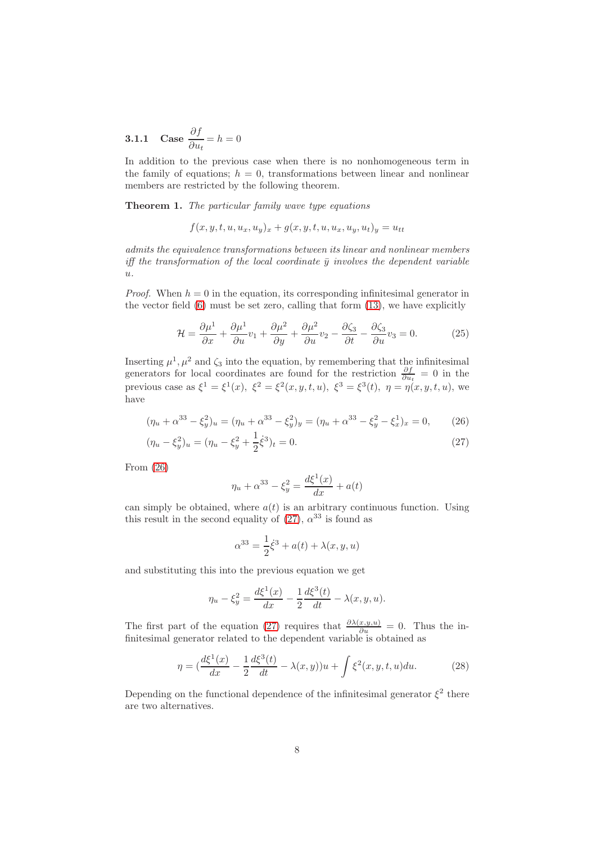**3.1.1** Case 
$$
\frac{\partial f}{\partial u_t} = h = 0
$$

In addition to the previous case when there is no nonhomogeneous term in the family of equations;  $h = 0$ , transformations between linear and nonlinear members are restricted by the following theorem.

Theorem 1. The particular family wave type equations

$$
f(x, y, t, u, u_x, u_y)_x + g(x, y, t, u, u_x, u_y, u_t)_y = u_{tt}
$$

admits the equivalence transformations between its linear and nonlinear members iff the transformation of the local coordinate  $\bar{y}$  involves the dependent variable  $\overline{u}$ .

*Proof.* When  $h = 0$  in the equation, its corresponding infinitesimal generator in the vector field [\(6\)](#page-3-0) must be set zero, calling that form [\(13\)](#page-4-0), we have explicitly

<span id="page-7-3"></span>
$$
\mathcal{H} = \frac{\partial \mu^1}{\partial x} + \frac{\partial \mu^1}{\partial u} v_1 + \frac{\partial \mu^2}{\partial y} + \frac{\partial \mu^2}{\partial u} v_2 - \frac{\partial \zeta_3}{\partial t} - \frac{\partial \zeta_3}{\partial u} v_3 = 0.
$$
 (25)

Inserting  $\mu^1, \mu^2$  and  $\zeta_3$  into the equation, by remembering that the infinitesimal generators for local coordinates are found for the restriction  $\frac{\partial f}{\partial u_t} = 0$  in the previous case as  $\xi^1 = \xi^1(x)$ ,  $\xi^2 = \xi^2(x, y, t, u)$ ,  $\xi^3 = \xi^3(t)$ ,  $\eta = \eta(x, y, t, u)$ , we have

$$
(\eta_u + \alpha^{33} - \xi_y^2)_u = (\eta_u + \alpha^{33} - \xi_y^2)_y = (\eta_u + \alpha^{33} - \xi_y^2 - \xi_x^1)_x = 0, \qquad (26)
$$

$$
(\eta_u - \xi_y^2)_u = (\eta_u - \xi_y^2 + \frac{1}{2}\dot{\xi}^3)_t = 0.
$$
\n(27)

From [\(26\)](#page-7-0)

<span id="page-7-1"></span><span id="page-7-0"></span>
$$
\eta_u + \alpha^{33} - \xi_y^2 = \frac{d\xi^1(x)}{dx} + a(t)
$$

can simply be obtained, where  $a(t)$  is an arbitrary continuous function. Using this result in the second equality of [\(27\)](#page-7-1),  $\alpha^{33}$  is found as

$$
\alpha^{33} = \frac{1}{2}\dot{\xi}^3 + a(t) + \lambda(x, y, u)
$$

and substituting this into the previous equation we get

$$
\eta_u - \xi_y^2 = \frac{d\xi^1(x)}{dx} - \frac{1}{2}\frac{d\xi^3(t)}{dt} - \lambda(x, y, u).
$$

The first part of the equation [\(27\)](#page-7-1) requires that  $\frac{\partial \lambda(x,y,u)}{\partial u} = 0$ . Thus the infinitesimal generator related to the dependent variable is obtained as

<span id="page-7-2"></span>
$$
\eta = \left(\frac{d\xi^1(x)}{dx} - \frac{1}{2}\frac{d\xi^3(t)}{dt} - \lambda(x,y)\right)u + \int \xi^2(x,y,t,u)du.
$$
 (28)

Depending on the functional dependence of the infinitesimal generator  $\xi^2$  there are two alternatives.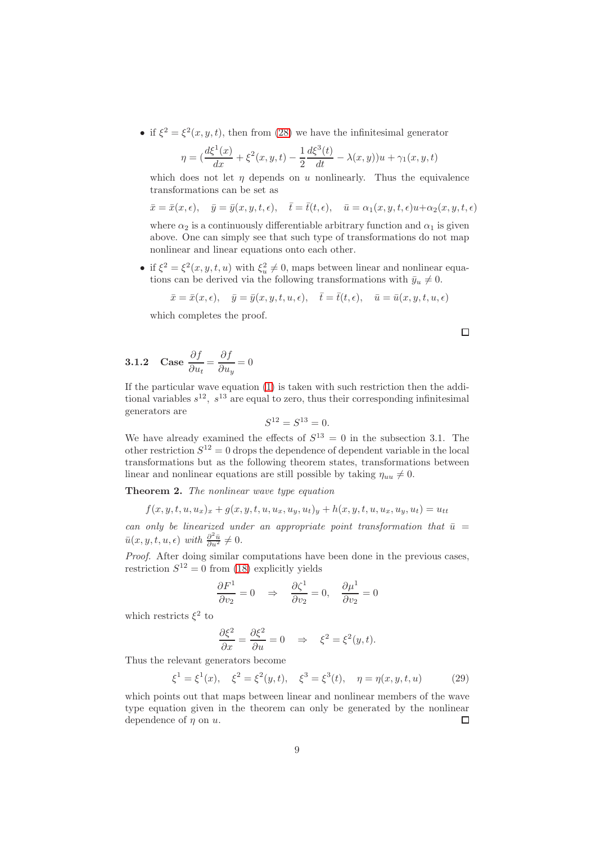• if  $\xi^2 = \xi^2(x, y, t)$ , then from [\(28\)](#page-7-2) we have the infinitesimal generator

$$
\eta = \left(\frac{d\xi^{1}(x)}{dx} + \xi^{2}(x, y, t) - \frac{1}{2}\frac{d\xi^{3}(t)}{dt} - \lambda(x, y)\right)u + \gamma_{1}(x, y, t)
$$

which does not let  $\eta$  depends on u nonlinearly. Thus the equivalence transformations can be set as

 $\bar{x} = \bar{x}(x, \epsilon), \quad \bar{y} = \bar{y}(x, y, t, \epsilon), \quad \bar{t} = \bar{t}(t, \epsilon), \quad \bar{u} = \alpha_1(x, y, t, \epsilon)u + \alpha_2(x, y, t, \epsilon)$ 

where  $\alpha_2$  is a continuously differentiable arbitrary function and  $\alpha_1$  is given above. One can simply see that such type of transformations do not map nonlinear and linear equations onto each other.

• if  $\xi^2 = \xi^2(x, y, t, u)$  with  $\xi_u^2 \neq 0$ , maps between linear and nonlinear equations can be derived via the following transformations with  $\bar{y}_u \neq 0$ .

$$
\bar{x} = \bar{x}(x, \epsilon), \quad \bar{y} = \bar{y}(x, y, t, u, \epsilon), \quad \bar{t} = \bar{t}(t, \epsilon), \quad \bar{u} = \bar{u}(x, y, t, u, \epsilon)
$$

which completes the proof.

$$
\Box
$$

**3.1.2** Case 
$$
\frac{\partial f}{\partial u_t} = \frac{\partial f}{\partial u_y} = 0
$$

If the particular wave equation [\(1\)](#page-2-0) is taken with such restriction then the additional variables  $s^{12}$ ,  $s^{13}$  are equal to zero, thus their corresponding infinitesimal generators are

$$
S^{12} = S^{13} = 0.
$$

We have already examined the effects of  $S^{13} = 0$  in the subsection 3.1. The other restriction  $S^{12} = 0$  drops the dependence of dependent variable in the local transformations but as the following theorem states, transformations between linear and nonlinear equations are still possible by taking  $\eta_{uu} \neq 0$ .

Theorem 2. The nonlinear wave type equation

$$
f(x, y, t, u, u_x)_x + g(x, y, t, u, u_x, u_y, u_t)_y + h(x, y, t, u, u_x, u_y, u_t) = u_{tt}
$$

can only be linearized under an appropriate point transformation that  $\bar{u} =$  $\bar{u}(x, y, t, u, \epsilon)$  with  $\frac{\partial^2 \bar{u}}{\partial u^2} \neq 0$ .

Proof. After doing similar computations have been done in the previous cases, restriction  $S^{12} = 0$  from [\(18\)](#page-5-0) explicitly yields

$$
\frac{\partial F^1}{\partial v_2} = 0 \quad \Rightarrow \quad \frac{\partial \zeta^1}{\partial v_2} = 0, \quad \frac{\partial \mu^1}{\partial v_2} = 0
$$

which restricts  $\xi^2$  to

$$
\frac{\partial \xi^2}{\partial x} = \frac{\partial \xi^2}{\partial u} = 0 \quad \Rightarrow \quad \xi^2 = \xi^2(y, t).
$$

Thus the relevant generators become

<span id="page-8-0"></span>
$$
\xi^1 = \xi^1(x), \quad \xi^2 = \xi^2(y, t), \quad \xi^3 = \xi^3(t), \quad \eta = \eta(x, y, t, u)
$$
 (29)

which points out that maps between linear and nonlinear members of the wave type equation given in the theorem can only be generated by the nonlinear dependence of  $n$  on  $u$ .  $\Box$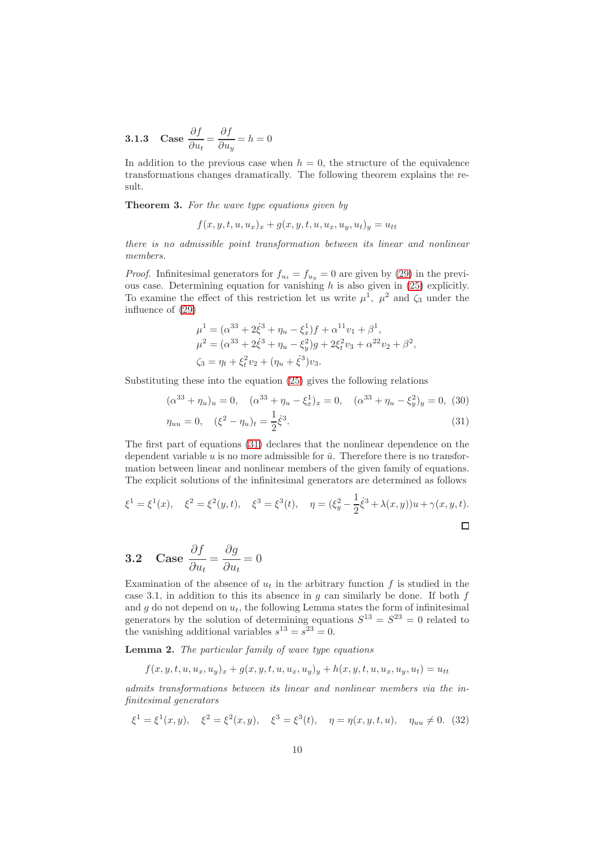**3.1.3** Case 
$$
\frac{\partial f}{\partial u_t} = \frac{\partial f}{\partial u_y} = h = 0
$$

In addition to the previous case when  $h = 0$ , the structure of the equivalence transformations changes dramatically. The following theorem explains the result.

Theorem 3. For the wave type equations given by

$$
f(x, y, t, u, u_x)_x + g(x, y, t, u, u_x, u_y, u_t)_y = u_{tt}
$$

there is no admissible point transformation between its linear and nonlinear members.

*Proof.* Infinitesimal generators for  $f_{u_t} = f_{u_y} = 0$  are given by [\(29\)](#page-8-0) in the previous case. Determining equation for vanishing  $h$  is also given in [\(25\)](#page-7-3) explicitly. To examine the effect of this restriction let us write  $\mu^1$ ,  $\mu^2$  and  $\zeta_3$  under the influence of [\(29\)](#page-8-0)

$$
\mu^{1} = (\alpha^{33} + 2\dot{\xi}^{3} + \eta_{u} - \xi_{x}^{1})f + \alpha^{11}v_{1} + \beta^{1},
$$
  
\n
$$
\mu^{2} = (\alpha^{33} + 2\dot{\xi}^{3} + \eta_{u} - \xi_{y}^{2})g + 2\xi_{t}^{2}v_{3} + \alpha^{22}v_{2} + \beta^{2},
$$
  
\n
$$
\zeta_{3} = \eta_{t} + \xi_{t}^{2}v_{2} + (\eta_{u} + \dot{\xi}^{3})v_{3}.
$$

Substituting these into the equation [\(25\)](#page-7-3) gives the following relations

<span id="page-9-0"></span>
$$
(\alpha^{33} + \eta_u)_u = 0, \quad (\alpha^{33} + \eta_u - \xi_x^1)_x = 0, \quad (\alpha^{33} + \eta_u - \xi_y^2)_y = 0, \tag{30}
$$

$$
\eta_{uu} = 0, \quad (\xi^2 - \eta_u)_t = \frac{1}{2}\dot{\xi}^3. \tag{31}
$$

The first part of equations [\(31\)](#page-9-0) declares that the nonlinear dependence on the dependent variable u is no more admissible for  $\bar{u}$ . Therefore there is no transformation between linear and nonlinear members of the given family of equations. The explicit solutions of the infinitesimal generators are determined as follows

$$
\xi^1 = \xi^1(x)
$$
,  $\xi^2 = \xi^2(y, t)$ ,  $\xi^3 = \xi^3(t)$ ,  $\eta = (\xi_y^2 - \frac{1}{2}\dot{\xi}^3 + \lambda(x, y))u + \gamma(x, y, t)$ .

3.2 Case 
$$
\frac{\partial f}{\partial u_t} = \frac{\partial g}{\partial u_t} = 0
$$

Examination of the absence of  $u_t$  in the arbitrary function f is studied in the case 3.1, in addition to this its absence in  $g$  can similarly be done. If both  $f$ and g do not depend on  $u_t$ , the following Lemma states the form of infinitesimal generators by the solution of determining equations  $S^{13} = S^{23} = 0$  related to the vanishing additional variables  $s^{13} = s^{23} = 0$ .

Lemma 2. The particular family of wave type equations

$$
f(x, y, t, u, u_x, u_y)_x + g(x, y, t, u, u_x, u_y)_y + h(x, y, t, u, u_x, u_y, u_t) = u_{tt}
$$

admits transformations between its linear and nonlinear members via the infinitesimal generators

<span id="page-9-1"></span>
$$
\xi^1 = \xi^1(x, y), \quad \xi^2 = \xi^2(x, y), \quad \xi^3 = \xi^3(t), \quad \eta = \eta(x, y, t, u), \quad \eta_{uu} \neq 0.
$$
 (32)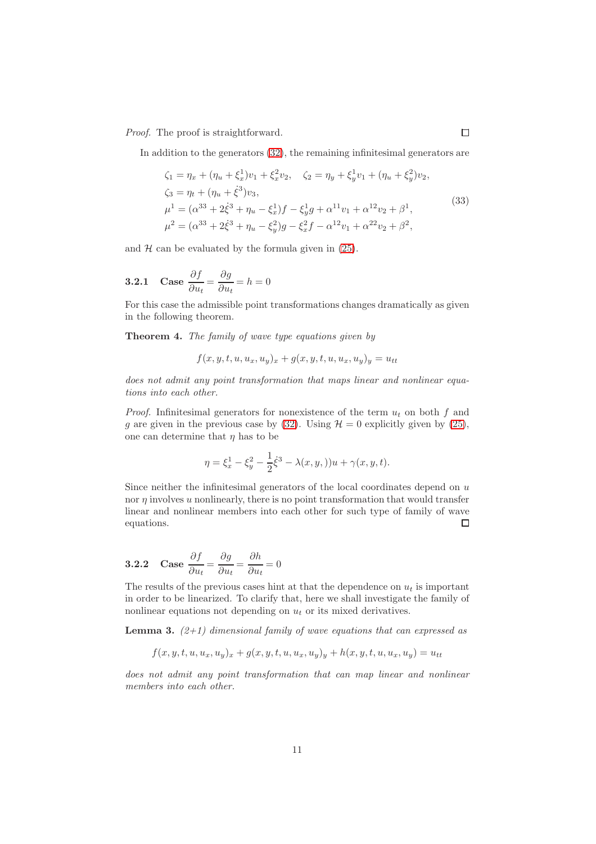Proof. The proof is straightforward.

In addition to the generators [\(32\)](#page-9-1), the remaining infinitesimal generators are

<span id="page-10-0"></span>
$$
\zeta_1 = \eta_x + (\eta_u + \xi_x^1)v_1 + \xi_x^2v_2, \quad \zeta_2 = \eta_y + \xi_y^1v_1 + (\eta_u + \xi_y^2)v_2,
$$
  
\n
$$
\zeta_3 = \eta_t + (\eta_u + \xi^3)v_3,
$$
  
\n
$$
\mu^1 = (\alpha^{33} + 2\xi^3 + \eta_u - \xi_x^1)f - \xi_y^1g + \alpha^{11}v_1 + \alpha^{12}v_2 + \beta^1,
$$
  
\n
$$
\mu^2 = (\alpha^{33} + 2\xi^3 + \eta_u - \xi_y^2)g - \xi_x^2f - \alpha^{12}v_1 + \alpha^{22}v_2 + \beta^2,
$$
\n(33)

and  $H$  can be evaluated by the formula given in  $(25)$ .

**3.2.1** Case 
$$
\frac{\partial f}{\partial u_t} = \frac{\partial g}{\partial u_t} = h = 0
$$

For this case the admissible point transformations changes dramatically as given in the following theorem.

Theorem 4. The family of wave type equations given by

$$
f(x, y, t, u, u_x, u_y)_x + g(x, y, t, u, u_x, u_y)_y = u_{tt}
$$

does not admit any point transformation that maps linear and nonlinear equations into each other.

*Proof.* Infinitesimal generators for nonexistence of the term  $u_t$  on both f and g are given in the previous case by [\(32\)](#page-9-1). Using  $\mathcal{H} = 0$  explicitly given by [\(25\)](#page-7-3), one can determine that  $\eta$  has to be

$$
\eta = \xi_x^1 - \xi_y^2 - \frac{1}{2}\dot{\xi}^3 - \lambda(x, y, y)u + \gamma(x, y, t).
$$

Since neither the infinitesimal generators of the local coordinates depend on  $u$ nor  $\eta$  involves u nonlinearly, there is no point transformation that would transfer linear and nonlinear members into each other for such type of family of wave equations.  $\Box$ 

**3.2.2** Case 
$$
\frac{\partial f}{\partial u_t} = \frac{\partial g}{\partial u_t} = \frac{\partial h}{\partial u_t} = 0
$$

The results of the previous cases hint at that the dependence on  $u_t$  is important in order to be linearized. To clarify that, here we shall investigate the family of nonlinear equations not depending on  $u_t$  or its mixed derivatives.

**Lemma 3.**  $(2+1)$  dimensional family of wave equations that can expressed as

$$
f(x, y, t, u, u_x, u_y)_x + g(x, y, t, u, u_x, u_y)_y + h(x, y, t, u, u_x, u_y) = u_{tt}
$$

does not admit any point transformation that can map linear and nonlinear members into each other.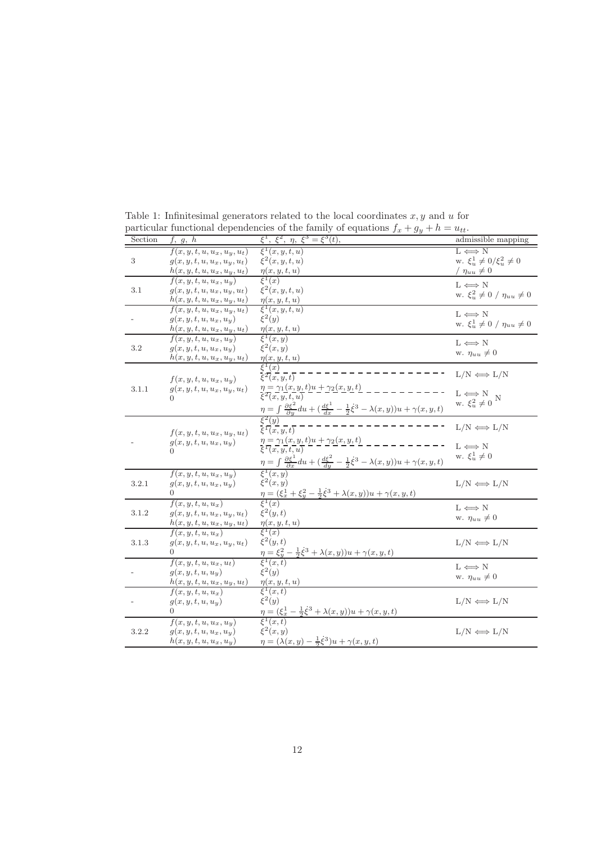| Section    | f, g, h                                    | $\xi^1$ , $\xi^2$ , $\eta$ , $\xi^3 = \xi^3(t)$ ,                                                                                                     | admissible mapping                             |
|------------|--------------------------------------------|-------------------------------------------------------------------------------------------------------------------------------------------------------|------------------------------------------------|
|            | $f(x, y, t, u, u_x, u_y, u_t)$             | $\xi^1(x,y,t,u)$                                                                                                                                      | $L \iff N$                                     |
| $\sqrt{3}$ | $g(x, y, t, u, u_x, u_y, u_t)$             | $\xi^2(x,y,t,u)$                                                                                                                                      | w. $\xi_u^1 \neq 0/\xi_u^2 \neq 0$             |
|            | $h(x, y, t, u, u_x, u_y, u_t)$             | $\eta(x, y, t, u)$                                                                                                                                    | / $\eta_{uu} \neq 0$                           |
|            | $f(x, y, t, u, u_x, u_y)$                  | $\xi^1(x)$                                                                                                                                            | $L \iff N$                                     |
| 3.1        | $q(x,y,t,u,u_x,u_y,u_t)$                   | $\xi^2(x,y,t,u)$                                                                                                                                      | w. $\xi_u^2 \neq 0$ / $\eta_{uu} \neq 0$       |
|            | $h(x, y, t, u, u_x, u_y, u_t)$             | $\eta(x, y, t, u)$                                                                                                                                    |                                                |
|            | $f(x, y, t, u, u_x, u_y, u_t)$             | $\xi^1(x,y,t,u)$                                                                                                                                      | $L \Longleftrightarrow N$                      |
|            | $g(x, y, t, u, u_x, u_y)$                  | $\xi^2(y)$                                                                                                                                            | w. $\xi_u^1 \neq 0$ / $\eta_{uu} \neq 0$       |
|            | $h(x, y, t, u, u_x, u_y, u_t)$             | $\frac{\eta(x,y,t,u)}{\xi^1(x,y)}$                                                                                                                    |                                                |
| 3.2        | $f(x, y, t, u, u_x, u_y)$                  | $\xi^2(x,y)$                                                                                                                                          | $L \Leftrightarrow N$                          |
|            | $g(x, y, t, u, u_x, u_y)$                  |                                                                                                                                                       | w. $\eta_{uu} \neq 0$                          |
|            | $h(x, y, t, u, u_x, u_y, u_t)$             | $\frac{\eta(x,y,t,u)}{\xi^1(x)}$                                                                                                                      |                                                |
|            |                                            | $\xi^2(x,y,t)$                                                                                                                                        | $L/N \iff L/N$                                 |
|            | $f(x, y, t, u, u_x, u_y)$                  | $\eta = \gamma_1(x,y,t)u + \gamma_2(x,y,t)$                                                                                                           |                                                |
| 3.1.1      | $g(x, y, t, u, u_x, u_y, u_t)$<br>$\Omega$ | $\overline{\xi^2(x, y, t, u)}$                                                                                                                        | $L \Leftrightarrow N$<br>w. $\xi_u^2 \neq 0$ N |
|            |                                            |                                                                                                                                                       |                                                |
|            |                                            | $\frac{\eta = \int \frac{\partial \xi^2}{\partial y} du + (\frac{d\xi^1}{dx} - \frac{1}{2}\dot{\xi}^3 - \lambda(x, y))u + \gamma(x, y, t)}{\xi^2(y)}$ |                                                |
|            |                                            |                                                                                                                                                       | $L/N \iff L/N$                                 |
|            | $f(x, y, t, u, u_x, u_y, u_t)$             | $\xi^1(x, y, t)$                                                                                                                                      |                                                |
|            | $g(x, y, t, u, u_x, u_y)$                  | $\eta = \underline{\gamma_1(x,y,t)u + \gamma_2(x,y,t)}$                                                                                               | $L \iff N$                                     |
|            |                                            |                                                                                                                                                       | w. $\xi_u^1 \neq 0$                            |
|            |                                            | $\eta = \int \frac{\partial \xi^1}{\partial x} du + \left( \frac{d\xi^2}{dy} - \frac{1}{2}\xi^3 - \lambda(x, y) \right) u + \gamma(x, y, t)$          |                                                |
|            | $f(x, y, t, u, u_x, u_y)$                  |                                                                                                                                                       |                                                |
| 3.2.1      | $g(x, y, t, u, u_x, u_y)$                  | $\xi^2(x,y)$                                                                                                                                          | $L/N \iff L/N$                                 |
|            | $\Omega$                                   | $\frac{\eta=(\xi_x^1+\xi_y^2-\frac{1}{2}\dot{\xi}^3+\lambda(x,y))u+\gamma(x,y,t)}{\xi^1(x)}$                                                          |                                                |
|            | $f(x, y, t, u, u_x)$                       |                                                                                                                                                       | $L \Leftrightarrow N$                          |
| 3.1.2      | $g(x, y, t, u, u_x, u_y, u_t)$             | $\xi^2(y,t)$                                                                                                                                          | w. $\eta_{uu} \neq 0$                          |
|            | $h(x, y, t, \underline{u}, u_x, u_y, u_t)$ | $\frac{\eta(x,y,t,u)}{\xi^1(x)}$                                                                                                                      |                                                |
|            | $f(x, y, t, u, u_x)$                       |                                                                                                                                                       |                                                |
| 3.1.3      | $g(x, y, t, u, u_x, u_y, u_t)$             | $\xi^2(y,t)$                                                                                                                                          | $L/N \iff L/N$                                 |
|            | $\Omega$                                   | $\frac{\eta}{\xi^1}(x,t) = \xi_y^2 - \frac{1}{2}\dot{\xi}^3 + \lambda(x,y))u + \gamma(x,y,t)$                                                         |                                                |
|            | $f(x, y, t, u, u_x, u_t)$                  |                                                                                                                                                       | $L \Leftrightarrow N$                          |
|            | $g(x, y, t, u, u_y)$                       | $\xi^2(y)$                                                                                                                                            | w. $\eta_{uu} \neq 0$                          |
|            | $h(x, y, t, \underline{u}, u_x, u_y, u_t)$ | $\frac{\eta(x, y, t, u)}{\xi^1(x, t)}$                                                                                                                |                                                |
|            | $f(x, y, t, u, u_x)$                       | $\xi^2(y)$                                                                                                                                            |                                                |
|            | $g(x, y, t, u, u_y)$<br>0                  |                                                                                                                                                       | $L/N \iff L/N$                                 |
|            |                                            | $\eta = (\xi_x^1 - \frac{1}{2}\dot{\xi}^3 + \lambda(x,y))u + \gamma(x,y,t)$<br>$\xi^1(x,t)$                                                           |                                                |
|            | $f(x, y, t, u, u_x, u_y)$                  | $\xi^2(x,y)$                                                                                                                                          |                                                |
| 3.2.2      | $g(x, y, t, u, u_x, u_y)$                  |                                                                                                                                                       | $L/N \iff L/N$                                 |
|            | $h(x, y, t, u, u_x, u_y)$                  | $\eta = (\lambda(x, y) - \frac{1}{2}\dot{\xi}^3)u + \gamma(x, y, t)$                                                                                  |                                                |

<span id="page-11-0"></span>Table 1: Infinitesimal generators related to the local coordinates  $x, y$  and  $u$  for particular functional dependencies of the family of equations  $f_x + g_y + h = u_{tt}$ .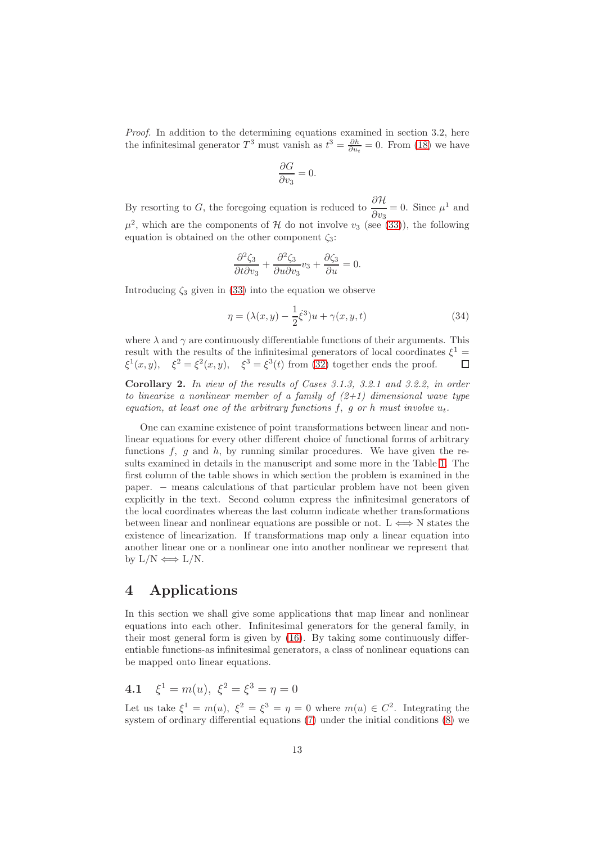Proof. In addition to the determining equations examined in section 3.2, here the infinitesimal generator  $T^3$  must vanish as  $t^3 = \frac{\partial h}{\partial u_t} = 0$ . From [\(18\)](#page-5-0) we have

$$
\frac{\partial G}{\partial v_3} = 0.
$$

By resorting to G, the foregoing equation is reduced to  $\frac{\partial \mathcal{H}}{\partial n}$  $\frac{\partial \mathcal{H}}{\partial v_3} = 0$ . Since  $\mu^1$  and  $\mu^2$ , which are the components of H do not involve  $v_3$  (see [\(33\)](#page-10-0)), the following equation is obtained on the other component  $\zeta_3$ :

$$
\frac{\partial^2 \zeta_3}{\partial t \partial v_3} + \frac{\partial^2 \zeta_3}{\partial u \partial v_3} v_3 + \frac{\partial \zeta_3}{\partial u} = 0.
$$

Introducing  $\zeta_3$  given in [\(33\)](#page-10-0) into the equation we observe

$$
\eta = (\lambda(x, y) - \frac{1}{2}\dot{\xi}^3)u + \gamma(x, y, t)
$$
\n(34)

where  $\lambda$  and  $\gamma$  are continuously differentiable functions of their arguments. This result with the results of the infinitesimal generators of local coordinates  $\xi^1$  =  $\xi^1(x,y)$ ,  $\xi^2 = \xi^2(x,y)$ ,  $\xi^3 = \xi^3(t)$  from [\(32\)](#page-9-1) together ends the proof.  $\Box$ 

Corollary 2. In view of the results of Cases 3.1.3, 3.2.1 and 3.2.2, in order to linearize a nonlinear member of a family of  $(2+1)$  dimensional wave type equation, at least one of the arbitrary functions f, g or h must involve  $u_t$ .

One can examine existence of point transformations between linear and nonlinear equations for every other different choice of functional forms of arbitrary functions  $f, g$  and  $h$ , by running similar procedures. We have given the results examined in details in the manuscript and some more in the Table [1.](#page-11-0) The first column of the table shows in which section the problem is examined in the paper. – means calculations of that particular problem have not been given explicitly in the text. Second column express the infinitesimal generators of the local coordinates whereas the last column indicate whether transformations between linear and nonlinear equations are possible or not. L  $\iff$  N states the existence of linearization. If transformations map only a linear equation into another linear one or a nonlinear one into another nonlinear we represent that by  $L/N \iff L/N$ .

### 4 Applications

In this section we shall give some applications that map linear and nonlinear equations into each other. Infinitesimal generators for the general family, in their most general form is given by [\(16\)](#page-4-2). By taking some continuously differentiable functions-as infinitesimal generators, a class of nonlinear equations can be mapped onto linear equations.

**4.1** 
$$
\xi^1 = m(u), \ \xi^2 = \xi^3 = \eta = 0
$$

Let us take  $\xi^1 = m(u)$ ,  $\xi^2 = \xi^3 = \eta = 0$  where  $m(u) \in C^2$ . Integrating the system of ordinary differential equations [\(7\)](#page-3-4) under the initial conditions [\(8\)](#page-3-5) we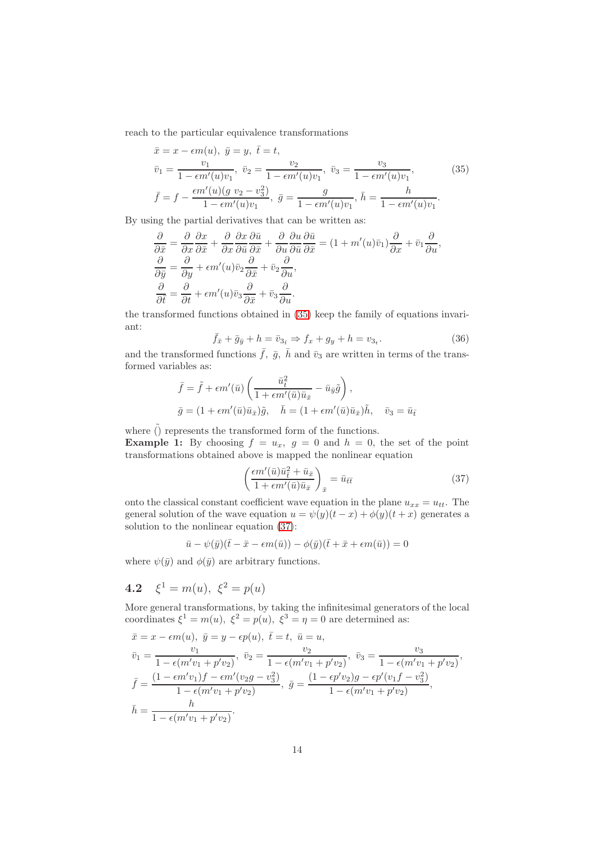reach to the particular equivalence transformations

$$
\bar{x} = x - \epsilon m(u), \ \bar{y} = y, \ \bar{t} = t,
$$
\n
$$
\bar{v}_1 = \frac{v_1}{1 - \epsilon m'(u)v_1}, \ \bar{v}_2 = \frac{v_2}{1 - \epsilon m'(u)v_1}, \ \bar{v}_3 = \frac{v_3}{1 - \epsilon m'(u)v_1},
$$
\n
$$
\bar{f} = f - \frac{\epsilon m'(u)(g v_2 - v_3^2)}{1 - \epsilon m'(u)v_1}, \ \bar{g} = \frac{g}{1 - \epsilon m'(u)v_1}, \ \bar{h} = \frac{h}{1 - \epsilon m'(u)v_1}.
$$
\n(35)

By using the partial derivatives that can be written as:

$$
\frac{\partial}{\partial \bar{x}} = \frac{\partial}{\partial x} \frac{\partial x}{\partial \bar{x}} + \frac{\partial}{\partial x} \frac{\partial x}{\partial \bar{u}} \frac{\partial \bar{u}}{\partial \bar{x}} + \frac{\partial}{\partial u} \frac{\partial u}{\partial \bar{u}} \frac{\partial \bar{u}}{\partial \bar{x}} = (1 + m'(u)\bar{v}_1) \frac{\partial}{\partial x} + \bar{v}_1 \frac{\partial}{\partial u},
$$
  

$$
\frac{\partial}{\partial \bar{y}} = \frac{\partial}{\partial y} + \epsilon m'(u)\bar{v}_2 \frac{\partial}{\partial \bar{x}} + \bar{v}_2 \frac{\partial}{\partial u},
$$
  

$$
\frac{\partial}{\partial \bar{t}} = \frac{\partial}{\partial t} + \epsilon m'(u)\bar{v}_3 \frac{\partial}{\partial \bar{x}} + \bar{v}_3 \frac{\partial}{\partial u}.
$$

the transformed functions obtained in [\(35\)](#page-13-0) keep the family of equations invariant:

<span id="page-13-0"></span>
$$
\bar{f}_{\bar{x}} + \bar{g}_{\bar{y}} + h = \bar{v}_{3_{\bar{t}}} \Rightarrow f_x + g_y + h = v_{3_t}.
$$
\n(36)

and the transformed functions  $\bar{f}$ ,  $\bar{g}$ ,  $\bar{h}$  and  $\bar{v}_3$  are written in terms of the transformed variables as:

$$
\bar{f} = \tilde{f} + \epsilon m'(\bar{u}) \left( \frac{\bar{u}_{\bar{t}}^2}{1 + \epsilon m'(\bar{u}) \bar{u}_{\bar{x}}} - \bar{u}_{\bar{y}} \tilde{g} \right),
$$
  

$$
\bar{g} = (1 + \epsilon m'(\bar{u}) \bar{u}_{\bar{x}}) \tilde{g}, \quad \bar{h} = (1 + \epsilon m'(\bar{u}) \bar{u}_{\bar{x}}) \tilde{h}, \quad \bar{v}_3 = \bar{u}_{\bar{t}}
$$

where  $\tilde{()}$  represents the transformed form of the functions. **Example 1:** By choosing  $f = u_x$ ,  $g = 0$  and  $h = 0$ , the set of the point transformations obtained above is mapped the nonlinear equation

<span id="page-13-1"></span>
$$
\left(\frac{\epsilon m'(\bar{u})\bar{u}_{\bar{t}}^2 + \bar{u}_{\bar{x}}}{1 + \epsilon m'(\bar{u})\bar{u}_{\bar{x}}}\right)_{\bar{x}} = \bar{u}_{\bar{t}\bar{t}}
$$
\n(37)

onto the classical constant coefficient wave equation in the plane  $u_{xx} = u_{tt}$ . The general solution of the wave equation  $u = \psi(y)(t-x) + \phi(y)(t+x)$  generates a solution to the nonlinear equation [\(37\)](#page-13-1):

$$
\bar{u} - \psi(\bar{y})(\bar{t} - \bar{x} - \epsilon m(\bar{u})) - \phi(\bar{y})(\bar{t} + \bar{x} + \epsilon m(\bar{u})) = 0
$$

where  $\psi(\bar{y})$  and  $\phi(\bar{y})$  are arbitrary functions.

4.2  $\xi^1 = m(u), \xi^2 = p(u)$ 

More general transformations, by taking the infinitesimal generators of the local coordinates  $\xi^1 = m(u)$ ,  $\xi^2 = p(u)$ ,  $\xi^3 = \eta = 0$  are determined as:

$$
\bar{x} = x - \epsilon m(u), \ \bar{y} = y - \epsilon p(u), \ \bar{t} = t, \ \bar{u} = u,
$$
\n
$$
\bar{v}_1 = \frac{v_1}{1 - \epsilon(m'v_1 + p'v_2)}, \ \bar{v}_2 = \frac{v_2}{1 - \epsilon(m'v_1 + p'v_2)}, \ \bar{v}_3 = \frac{v_3}{1 - \epsilon(m'v_1 + p'v_2)},
$$
\n
$$
\bar{f} = \frac{(1 - \epsilon m'v_1)f - \epsilon m'(v_2g - v_3^2)}{1 - \epsilon(m'v_1 + p'v_2)}, \ \bar{g} = \frac{(1 - \epsilon p'v_2)g - \epsilon p'(v_1f - v_3^2)}{1 - \epsilon(m'v_1 + p'v_2)},
$$
\n
$$
\bar{h} = \frac{h}{1 - \epsilon(m'v_1 + p'v_2)}.
$$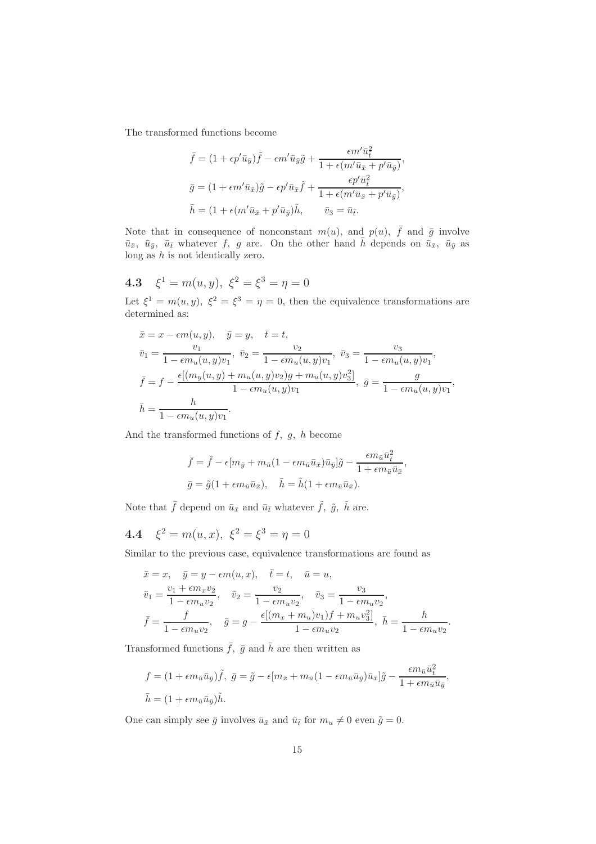The transformed functions become

$$
\bar{f} = (1 + \epsilon p' \bar{u}_{\bar{y}}) \tilde{f} - \epsilon m' \bar{u}_{\bar{y}} \tilde{g} + \frac{\epsilon m' \bar{u}_{\bar{t}}^2}{1 + \epsilon (m' \bar{u}_{\bar{x}} + p' \bar{u}_{\bar{y}})},
$$
  

$$
\bar{g} = (1 + \epsilon m' \bar{u}_{\bar{x}}) \tilde{g} - \epsilon p' \bar{u}_{\bar{x}} \tilde{f} + \frac{\epsilon p' \bar{u}_{\bar{t}}^2}{1 + \epsilon (m' \bar{u}_{\bar{x}} + p' \bar{u}_{\bar{y}})},
$$
  

$$
\bar{h} = (1 + \epsilon (m' \bar{u}_{\bar{x}} + p' \bar{u}_{\bar{y}}) \tilde{h}, \qquad \bar{v}_3 = \bar{u}_{\bar{t}}.
$$

Note that in consequence of nonconstant  $m(u)$ , and  $p(u)$ ,  $\bar{f}$  and  $\bar{g}$  involve  $\bar{u}_{\bar{x}}, \bar{u}_{\bar{y}}, \bar{u}_{\bar{t}}$  whatever f, g are. On the other hand  $\bar{h}$  depends on  $\bar{u}_{\bar{x}}, \bar{u}_{\bar{y}}$  as long as  $h$  is not identically zero.

4.3 
$$
\xi^1 = m(u, y), \xi^2 = \xi^3 = \eta = 0
$$

Let  $\xi^1 = m(u, y)$ ,  $\xi^2 = \xi^3 = \eta = 0$ , then the equivalence transformations are determined as:

$$
\bar{x} = x - \epsilon m(u, y), \quad \bar{y} = y, \quad \bar{t} = t,
$$
\n
$$
\bar{v}_1 = \frac{v_1}{1 - \epsilon m_u(u, y)v_1}, \quad \bar{v}_2 = \frac{v_2}{1 - \epsilon m_u(u, y)v_1}, \quad \bar{v}_3 = \frac{v_3}{1 - \epsilon m_u(u, y)v_1},
$$
\n
$$
\bar{f} = f - \frac{\epsilon[(m_y(u, y) + m_u(u, y)v_2)g + m_u(u, y)v_3^2]}{1 - \epsilon m_u(u, y)v_1}, \quad \bar{g} = \frac{g}{1 - \epsilon m_u(u, y)v_1},
$$
\n
$$
\bar{h} = \frac{h}{1 - \epsilon m_u(u, y)v_1}.
$$

And the transformed functions of  $f$ ,  $g$ ,  $h$  become

$$
\bar{f} = \tilde{f} - \epsilon [m_{\bar{y}} + m_{\bar{u}} (1 - \epsilon m_{\bar{u}} \bar{u}_{\bar{x}}) \bar{u}_{\bar{y}}] \tilde{g} - \frac{\epsilon m_{\bar{u}} \bar{u}_{\bar{i}}^2}{1 + \epsilon m_{\bar{u}} \bar{u}_{\bar{x}}},
$$
  

$$
\bar{g} = \tilde{g} (1 + \epsilon m_{\bar{u}} \bar{u}_{\bar{x}}), \quad \bar{h} = \tilde{h} (1 + \epsilon m_{\bar{u}} \bar{u}_{\bar{x}}).
$$

Note that  $\bar{f}$  depend on  $\bar{u}_{\bar{x}}$  and  $\bar{u}_{\bar{t}}$  whatever  $\tilde{f}$ ,  $\tilde{g}$ ,  $\tilde{h}$  are.

**4.4** 
$$
\xi^2 = m(u, x), \ \xi^2 = \xi^3 = \eta = 0
$$

Similar to the previous case, equivalence transformations are found as

$$
\bar{x} = x, \quad \bar{y} = y - \epsilon m(u, x), \quad \bar{t} = t, \quad \bar{u} = u,
$$
\n
$$
\bar{v}_1 = \frac{v_1 + \epsilon m_x v_2}{1 - \epsilon m_u v_2}, \quad \bar{v}_2 = \frac{v_2}{1 - \epsilon m_u v_2}, \quad \bar{v}_3 = \frac{v_3}{1 - \epsilon m_u v_2},
$$
\n
$$
\bar{f} = \frac{f}{1 - \epsilon m_u v_2}, \quad \bar{g} = g - \frac{\epsilon [(m_x + m_u) v_1) f + m_u v_3^2]}{1 - \epsilon m_u v_2}, \quad \bar{h} = \frac{h}{1 - \epsilon m_u v_2}.
$$

Transformed functions  $\bar{f}$ ,  $\bar{g}$  and  $\bar{h}$  are then written as

$$
f = (1 + \epsilon m_{\bar{u}} \bar{u}_{\bar{y}}) \tilde{f}, \ \bar{g} = \tilde{g} - \epsilon [m_{\bar{x}} + m_{\bar{u}} (1 - \epsilon m_{\bar{u}} \bar{u}_{\bar{y}}) \bar{u}_{\bar{x}}] \tilde{g} - \frac{\epsilon m_{\bar{u}} \bar{u}_{\bar{t}}^2}{1 + \epsilon m_{\bar{u}} \bar{u}_{\bar{y}}},
$$
  

$$
\bar{h} = (1 + \epsilon m_{\bar{u}} \bar{u}_{\bar{y}}) \tilde{h}.
$$

 $\sqrt{2}$ 

One can simply see  $\bar{g}$  involves  $\bar{u}_{\bar{x}}$  and  $\bar{u}_{\bar{t}}$  for  $m_u \neq 0$  even  $\tilde{g} = 0$ .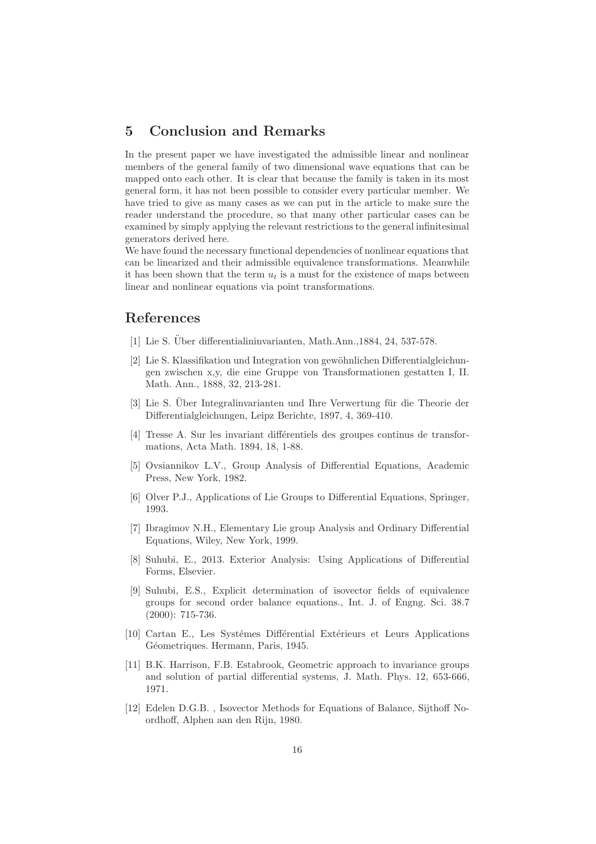### 5 Conclusion and Remarks

In the present paper we have investigated the admissible linear and nonlinear members of the general family of two dimensional wave equations that can be mapped onto each other. It is clear that because the family is taken in its most general form, it has not been possible to consider every particular member. We have tried to give as many cases as we can put in the article to make sure the reader understand the procedure, so that many other particular cases can be examined by simply applying the relevant restrictions to the general infinitesimal generators derived here.

We have found the necessary functional dependencies of nonlinear equations that can be linearized and their admissible equivalence transformations. Meanwhile it has been shown that the term  $u_t$  is a must for the existence of maps between linear and nonlinear equations via point transformations.

#### <span id="page-15-0"></span>References

- <span id="page-15-1"></span>[1] Lie S. Über differentialininvarianten, Math.Ann.,1884, 24, 537-578.
- [2] Lie S. Klassifikation und Integration von gewöhnlichen Differentialgleichungen zwischen x,y, die eine Gruppe von Transformationen gestatten I, II. Math. Ann., 1888, 32, 213-281.
- <span id="page-15-2"></span>[3] Lie S. Über Integralinvarianten und Ihre Verwertung für die Theorie der Differentialgleichungen, Leipz Berichte, 1897, 4, 369-410.
- <span id="page-15-3"></span>[4] Tresse A. Sur les invariant diff´erentiels des groupes continus de transformations, Acta Math. 1894, 18, 1-88.
- <span id="page-15-4"></span>[5] Ovsiannikov L.V., Group Analysis of Differential Equations, Academic Press, New York, 1982.
- [6] Olver P.J., Applications of Lie Groups to Differential Equations, Springer, 1993.
- [7] Ibragimov N.H., Elementary Lie group Analysis and Ordinary Differential Equations, Wiley, New York, 1999.
- <span id="page-15-5"></span>[8] Suhubi, E., 2013. Exterior Analysis: Using Applications of Differential Forms, Elsevier.
- <span id="page-15-6"></span>[9] Suhubi, E.S., Explicit determination of isovector fields of equivalence groups for second order balance equations., Int. J. of Engng. Sci. 38.7 (2000): 715-736.
- <span id="page-15-7"></span>[10] Cartan E., Les Systémes Différential Extérieurs et Leurs Applications Géometriques. Hermann, Paris, 1945.
- <span id="page-15-8"></span>[11] B.K. Harrison, F.B. Estabrook, Geometric approach to invariance groups and solution of partial differential systems, J. Math. Phys. 12, 653-666, 1971.
- <span id="page-15-9"></span>[12] Edelen D.G.B. , Isovector Methods for Equations of Balance, Sijthoff Noordhoff, Alphen aan den Rijn, 1980.